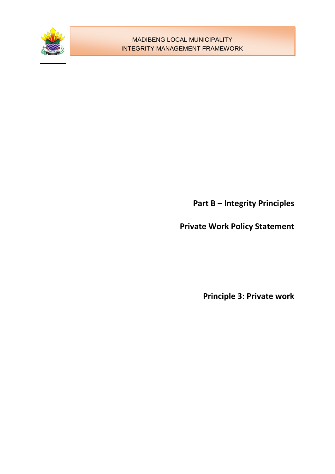

**Part B – Integrity Principles**

**Private Work Policy Statement**

**Principle 3: Private work**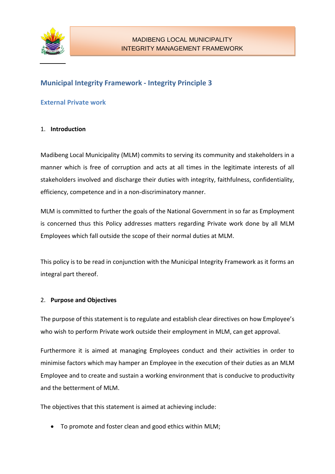

## **Municipal Integrity Framework - Integrity Principle 3**

## **External Private work**

#### 1. **Introduction**

Madibeng Local Municipality (MLM) commits to serving its community and stakeholders in a manner which is free of corruption and acts at all times in the legitimate interests of all stakeholders involved and discharge their duties with integrity, faithfulness, confidentiality, efficiency, competence and in a non-discriminatory manner.

MLM is committed to further the goals of the National Government in so far as Employment is concerned thus this Policy addresses matters regarding Private work done by all MLM Employees which fall outside the scope of their normal duties at MLM.

This policy is to be read in conjunction with the Municipal Integrity Framework as it forms an integral part thereof.

## 2. **Purpose and Objectives**

The purpose of this statement is to regulate and establish clear directives on how Employee's who wish to perform Private work outside their employment in MLM, can get approval.

Furthermore it is aimed at managing Employees conduct and their activities in order to minimise factors which may hamper an Employee in the execution of their duties as an MLM Employee and to create and sustain a working environment that is conducive to productivity and the betterment of MLM.

The objectives that this statement is aimed at achieving include:

To promote and foster clean and good ethics within MLM;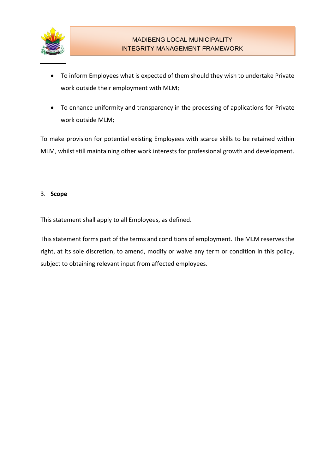

- To inform Employees what is expected of them should they wish to undertake Private work outside their employment with MLM;
- To enhance uniformity and transparency in the processing of applications for Private work outside MLM;

To make provision for potential existing Employees with scarce skills to be retained within MLM, whilst still maintaining other work interests for professional growth and development.

#### 3. **Scope**

This statement shall apply to all Employees, as defined.

This statement forms part of the terms and conditions of employment. The MLM reserves the right, at its sole discretion, to amend, modify or waive any term or condition in this policy, subject to obtaining relevant input from affected employees.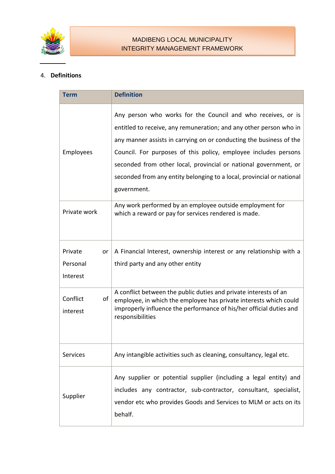

### 4. **Definitions**

| <b>Term</b>                           | <b>Definition</b>                                                                                                                                                                                                                                                                                                                                                                                                                        |
|---------------------------------------|------------------------------------------------------------------------------------------------------------------------------------------------------------------------------------------------------------------------------------------------------------------------------------------------------------------------------------------------------------------------------------------------------------------------------------------|
| Employees                             | Any person who works for the Council and who receives, or is<br>entitled to receive, any remuneration; and any other person who in<br>any manner assists in carrying on or conducting the business of the<br>Council. For purposes of this policy, employee includes persons<br>seconded from other local, provincial or national government, or<br>seconded from any entity belonging to a local, provincial or national<br>government. |
| Private work                          | Any work performed by an employee outside employment for<br>which a reward or pay for services rendered is made.                                                                                                                                                                                                                                                                                                                         |
| Private<br>or<br>Personal<br>Interest | A Financial Interest, ownership interest or any relationship with a<br>third party and any other entity                                                                                                                                                                                                                                                                                                                                  |
| Conflict<br>οf<br>interest            | A conflict between the public duties and private interests of an<br>employee, in which the employee has private interests which could<br>improperly influence the performance of his/her official duties and<br>responsibilities                                                                                                                                                                                                         |
| Services                              | Any intangible activities such as cleaning, consultancy, legal etc.                                                                                                                                                                                                                                                                                                                                                                      |
| Supplier                              | Any supplier or potential supplier (including a legal entity) and<br>includes any contractor, sub-contractor, consultant, specialist,<br>vendor etc who provides Goods and Services to MLM or acts on its<br>behalf.                                                                                                                                                                                                                     |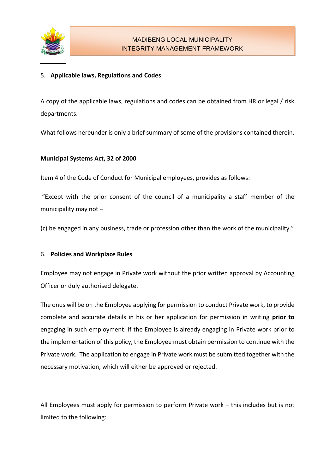

## 5. **Applicable laws, Regulations and Codes**

A copy of the applicable laws, regulations and codes can be obtained from HR or legal / risk departments.

What follows hereunder is only a brief summary of some of the provisions contained therein.

#### **Municipal Systems Act, 32 of 2000**

Item 4 of the Code of Conduct for Municipal employees, provides as follows:

"Except with the prior consent of the council of a municipality a staff member of the municipality may not –

(c) be engaged in any business, trade or profession other than the work of the municipality."

#### 6. **Policies and Workplace Rules**

Employee may not engage in Private work without the prior written approval by Accounting Officer or duly authorised delegate.

The onus will be on the Employee applying for permission to conduct Private work, to provide complete and accurate details in his or her application for permission in writing **prior to** engaging in such employment. If the Employee is already engaging in Private work prior to the implementation of this policy, the Employee must obtain permission to continue with the Private work. The application to engage in Private work must be submitted together with the necessary motivation, which will either be approved or rejected.

All Employees must apply for permission to perform Private work – this includes but is not limited to the following: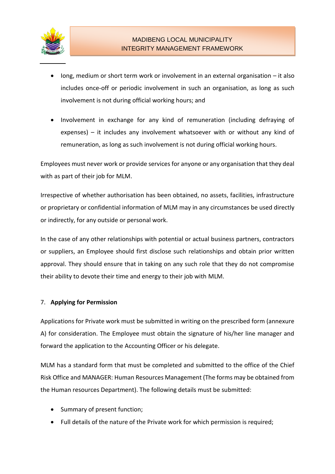

- $\bullet$  long, medium or short term work or involvement in an external organisation it also includes once-off or periodic involvement in such an organisation, as long as such involvement is not during official working hours; and
- Involvement in exchange for any kind of remuneration (including defraying of expenses) – it includes any involvement whatsoever with or without any kind of remuneration, as long as such involvement is not during official working hours.

Employees must never work or provide services for anyone or any organisation that they deal with as part of their job for MLM.

Irrespective of whether authorisation has been obtained, no assets, facilities, infrastructure or proprietary or confidential information of MLM may in any circumstances be used directly or indirectly, for any outside or personal work.

In the case of any other relationships with potential or actual business partners, contractors or suppliers, an Employee should first disclose such relationships and obtain prior written approval. They should ensure that in taking on any such role that they do not compromise their ability to devote their time and energy to their job with MLM.

## 7. **Applying for Permission**

Applications for Private work must be submitted in writing on the prescribed form (annexure A) for consideration. The Employee must obtain the signature of his/her line manager and forward the application to the Accounting Officer or his delegate.

MLM has a standard form that must be completed and submitted to the office of the Chief Risk Office and MANAGER: Human Resources Management (The forms may be obtained from the Human resources Department). The following details must be submitted:

- Summary of present function;
- Full details of the nature of the Private work for which permission is required;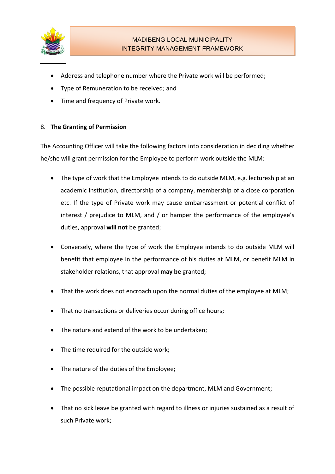

- Address and telephone number where the Private work will be performed;
- Type of Remuneration to be received; and
- Time and frequency of Private work.

## 8. **The Granting of Permission**

The Accounting Officer will take the following factors into consideration in deciding whether he/she will grant permission for the Employee to perform work outside the MLM:

- The type of work that the Employee intends to do outside MLM, e.g. lectureship at an academic institution, directorship of a company, membership of a close corporation etc. If the type of Private work may cause embarrassment or potential conflict of interest / prejudice to MLM, and / or hamper the performance of the employee's duties, approval **will not** be granted;
- Conversely, where the type of work the Employee intends to do outside MLM will benefit that employee in the performance of his duties at MLM, or benefit MLM in stakeholder relations, that approval **may be** granted;
- That the work does not encroach upon the normal duties of the employee at MLM;
- That no transactions or deliveries occur during office hours;
- The nature and extend of the work to be undertaken;
- The time required for the outside work;
- The nature of the duties of the Employee;
- The possible reputational impact on the department, MLM and Government;
- That no sick leave be granted with regard to illness or injuries sustained as a result of such Private work;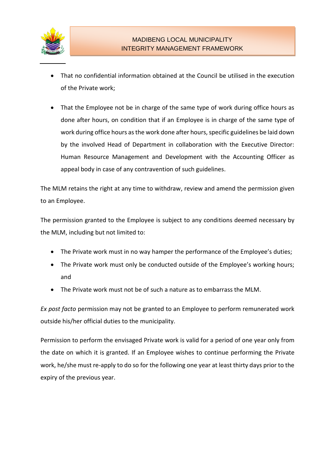

- That no confidential information obtained at the Council be utilised in the execution of the Private work;
- That the Employee not be in charge of the same type of work during office hours as done after hours, on condition that if an Employee is in charge of the same type of work during office hours as the work done after hours, specific guidelines be laid down by the involved Head of Department in collaboration with the Executive Director: Human Resource Management and Development with the Accounting Officer as appeal body in case of any contravention of such guidelines.

The MLM retains the right at any time to withdraw, review and amend the permission given to an Employee.

The permission granted to the Employee is subject to any conditions deemed necessary by the MLM, including but not limited to:

- The Private work must in no way hamper the performance of the Employee's duties;
- The Private work must only be conducted outside of the Employee's working hours; and
- The Private work must not be of such a nature as to embarrass the MLM.

*Ex post facto* permission may not be granted to an Employee to perform remunerated work outside his/her official duties to the municipality.

Permission to perform the envisaged Private work is valid for a period of one year only from the date on which it is granted. If an Employee wishes to continue performing the Private work, he/she must re-apply to do so for the following one year at least thirty days prior to the expiry of the previous year.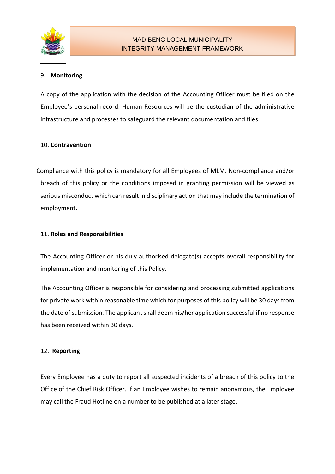

#### 9. **Monitoring**

A copy of the application with the decision of the Accounting Officer must be filed on the Employee's personal record. Human Resources will be the custodian of the administrative infrastructure and processes to safeguard the relevant documentation and files.

#### 10. **Contravention**

Compliance with this policy is mandatory for all Employees of MLM. Non-compliance and/or breach of this policy or the conditions imposed in granting permission will be viewed as serious misconduct which can result in disciplinary action that may include the termination of employment**.** 

#### 11. **Roles and Responsibilities**

The Accounting Officer or his duly authorised delegate(s) accepts overall responsibility for implementation and monitoring of this Policy.

The Accounting Officer is responsible for considering and processing submitted applications for private work within reasonable time which for purposes of this policy will be 30 days from the date of submission. The applicant shall deem his/her application successful if no response has been received within 30 days.

## 12. **Reporting**

Every Employee has a duty to report all suspected incidents of a breach of this policy to the Office of the Chief Risk Officer. If an Employee wishes to remain anonymous, the Employee may call the Fraud Hotline on a number to be published at a later stage.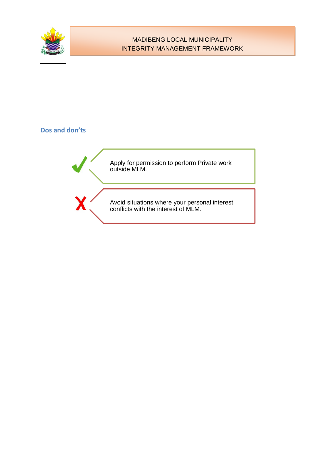

## MADIBENG LOCAL MUNICIPALITY INTEGRITY MANAGEMENT FRAMEWORK

## **Dos and don'ts**

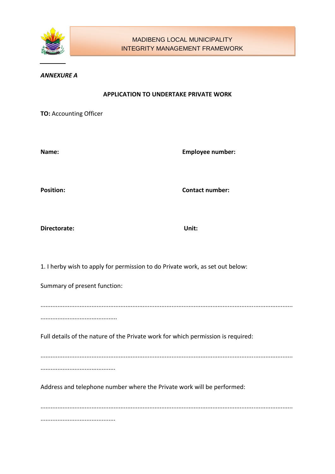

#### *ANNEXURE A*

#### **APPLICATION TO UNDERTAKE PRIVATE WORK**

**TO:** Accounting Officer

**Name: Employee number:**

**Position: Contact number:**

**Directorate: Unit:**

1. I herby wish to apply for permission to do Private work, as set out below:

Summary of present function:

.................................................................................................................................................... .............................................

Full details of the nature of the Private work for which permission is required:

....................................................................................................................................................

............................................

Address and telephone number where the Private work will be performed:

.................................................................................................................................................... ............................................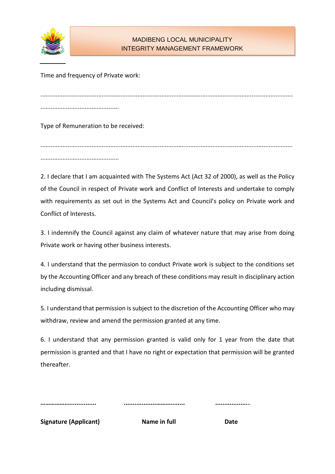

## MADIBENG LOCAL MUNICIPALITY INTEGRITY MANAGEMENT FRAMEWORK

Time and frequency of Private work:

.................................................................................................................................................... ..............................................

Type of Remuneration to be received:

.................................................................................................................................................... ..............................................

2. I declare that I am acquainted with The Systems Act (Act 32 of 2000), as well as the Policy of the Council in respect of Private work and Conflict of Interests and undertake to comply with requirements as set out in the Systems Act and Council's policy on Private work and Conflict of Interests.

3. I indemnify the Council against any claim of whatever nature that may arise from doing Private work or having other business interests.

4. I understand that the permission to conduct Private work is subject to the conditions set by the Accounting Officer and any breach of these conditions may result in disciplinary action including dismissal.

5. I understand that permission is subject to the discretion of the Accounting Officer who may withdraw, review and amend the permission granted at any time.

6. I understand that any permission granted is valid only for 1 year from the date that permission is granted and that I have no right or expectation that permission will be granted thereafter.

| <br> | . |
|------|---|

**Signature (Applicant) Communist Communist Communist Communist Communist Communist Communist Communist Communist Communist Communist Communist Communist Communist Communist Communist Communist Communist Communist Communist**